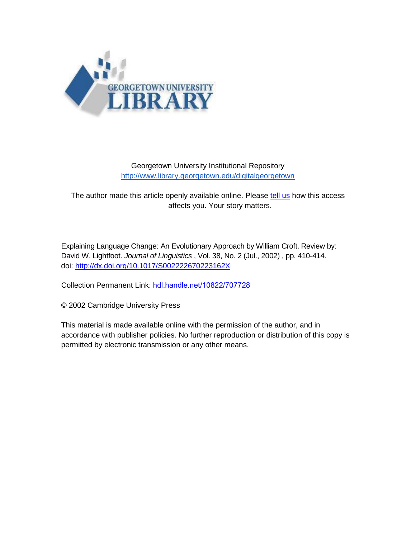

# Georgetown University Institutional Repository <http://www.library.georgetown.edu/digitalgeorgetown>

The author made this article openly available online. Please [tell us](https://www.library.georgetown.edu/ir/share-story) how this access affects you. Your story matters.

Explaining Language Change: An Evolutionary Approach by William Croft. Review by: David W. Lightfoot. *Journal of Linguistics* , Vol. 38, No. 2 (Jul., 2002) , pp. 410-414. doi:<http://dx.doi.org/10.1017/S002222670223162X>

Collection Permanent Link: [hdl.handle.net/10822/707728](http://hdl.handle.net/10822/707728)

© 2002 Cambridge University Press

This material is made available online with the permission of the author, and in accordance with publisher policies. No further reproduction or distribution of this copy is permitted by electronic transmission or any other means.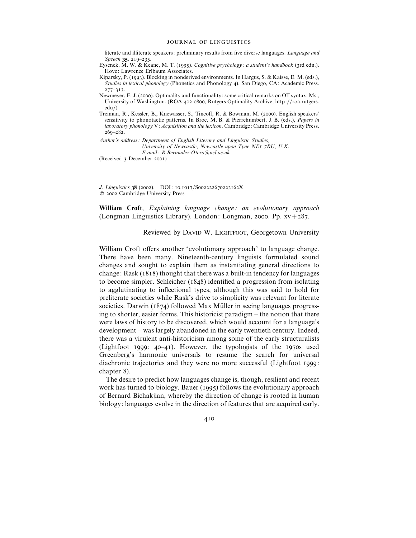#### JOURNAL OF LINGUISTICS

literate and illiterate speakers: preliminary results from five diverse languages. *Language and Speech* 35. 219-235.

Eysenck, M. W. & Keane, M. T. (1995). *Cognitive psychology: a student's handbook* (3rd edn.). Hove: Lawrence Erlbaum Associates.

- Kiparsky, P. (1993). Blocking in nonderived environments. In Hargus, S. & Kaisse, E. M. (eds.), *Studies in lexical phonology* (Phonetics and Phonology 4). San Diego, CA: Academic Press.  $277 - 313$ .
- Newmeyer, F. J. (2000). Optimality and functionality: some critical remarks on OT syntax. Ms., University of Washington. (ROA-402-0800, Rutgers Optimality Archive, http://roa.rutgers. edu})
- Treiman, R., Kessler, B., Knewasser, S., Tincoff, R. & Bowman, M. (2000). English speakers' sensitivity to phonotactic patterns. In Broe, M. B. & Pierrehumbert, J. B. (eds.), *Papers in laboratory phonology* V: *Acquisition and the lexicon*. Cambridge: Cambridge University Press.  $269 - 282.$
- *Author's address : Department of English Literary and Linguistic Studies, University of Newcastle, Newcastle upon Tyne NEI 7RU, U.K. E-mail : R.Bermudez-Otero*!*ncl.ac.uk*

(Received 3 December 2001)

*J. Linguistics* 38 (2002). DOI: 10.1017/S002222670223162X  $©$  2002 Cambridge University Press

**William Croft**, *Explaining language change : an evolutionary approach* (Longman Linguistics Library). London: Longman, 2000. Pp.  $xy + 287$ .

Reviewed by DAVID W. LIGHTFOOT, Georgetown University

William Croft offers another 'evolutionary approach' to language change. There have been many. Nineteenth-century linguists formulated sound changes and sought to explain them as instantiating general directions to change: Rask  $(1818)$  thought that there was a built-in tendency for languages to become simpler. Schleicher  $(1848)$  identified a progression from isolating to agglutinating to inflectional types, although this was said to hold for preliterate societies while Rask's drive to simplicity was relevant for literate societies. Darwin ( $1874$ ) followed Max Müller in seeing languages progressing to shorter, easier forms. This historicist paradigm – the notion that there were laws of history to be discovered, which would account for a language's development – was largely abandoned in the early twentieth century. Indeed, there was a virulent anti-historicism among some of the early structuralists (Lightfoot  $1999: 40-41$ ). However, the typologists of the  $1970s$  used Greenberg's harmonic universals to resume the search for universal diachronic trajectories and they were no more successful (Lightfoot 1999: chapter 8).

The desire to predict how languages change is, though, resilient and recent work has turned to biology. Bauer  $(1995)$  follows the evolutionary approach of Bernard Bichakjian, whereby the direction of change is rooted in human biology: languages evolve in the direction of features that are acquired early.

410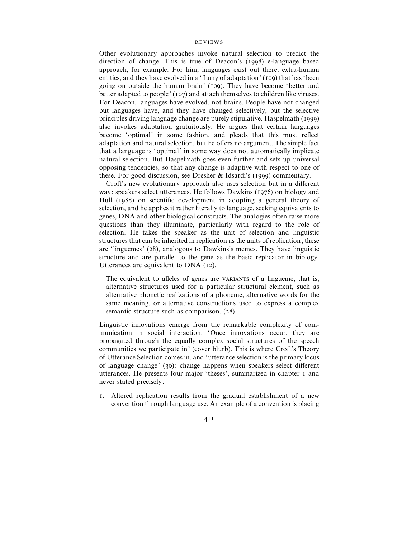## **REVIEWS**

Other evolutionary approaches invoke natural selection to predict the direction of change. This is true of Deacon's  $(1998)$  e-language based approach, for example. For him, languages exist out there, extra-human entities, and they have evolved in a 'flurry of adaptation' (109) that has 'been going on outside the human brain' (109). They have become 'better and better adapted to people' (107) and attach themselves to children like viruses. For Deacon, languages have evolved, not brains. People have not changed but languages have, and they have changed selectively, but the selective principles driving language change are purely stipulative. Haspelmath (1999) also invokes adaptation gratuitously. He argues that certain languages become 'optimal' in some fashion, and pleads that this must reflect adaptation and natural selection, but he offers no argument. The simple fact that a language is 'optimal' in some way does not automatically implicate natural selection. But Haspelmath goes even further and sets up universal opposing tendencies, so that any change is adaptive with respect to one of these. For good discussion, see Dresher & Idsardi's (1999) commentary.

Croft's new evolutionary approach also uses selection but in a different way: speakers select utterances. He follows Dawkins  $(1976)$  on biology and Hull (1988) on scientific development in adopting a general theory of selection, and he applies it rather literally to language, seeking equivalents to genes, DNA and other biological constructs. The analogies often raise more questions than they illuminate, particularly with regard to the role of selection. He takes the speaker as the unit of selection and linguistic structures that can be inherited in replication as the units of replication; these are 'linguemes' (28), analogous to Dawkins's memes. They have linguistic structure and are parallel to the gene as the basic replicator in biology. Utterances are equivalent to  $DNA (12)$ .

The equivalent to alleles of genes are VARIANTS of a lingueme, that is, alternative structures used for a particular structural element, such as alternative phonetic realizations of a phoneme, alternative words for the same meaning, or alternative constructions used to express a complex semantic structure such as comparison.  $(28)$ 

Linguistic innovations emerge from the remarkable complexity of communication in social interaction. 'Once innovations occur, they are propagated through the equally complex social structures of the speech communities we participate in' (cover blurb). This is where Croft's Theory of Utterance Selection comes in, and 'utterance selection is the primary locus of language change' (30): change happens when speakers select different utterances. He presents four major 'theses', summarized in chapter I and never stated precisely:

- . Altered replication results from the gradual establishment of a new convention through language use. An example of a convention is placing
	- 4II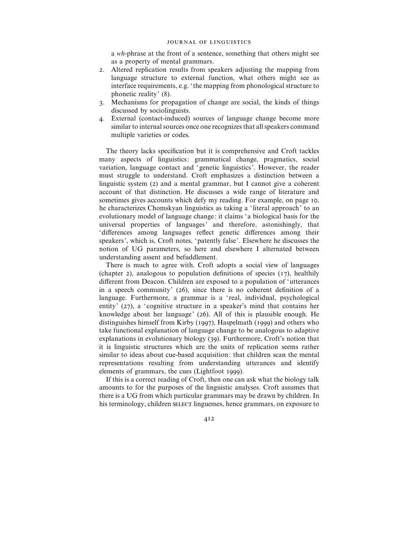a *wh*-phrase at the front of a sentence, something that others might see as a property of mental grammars.

- . Altered replication results from speakers adjusting the mapping from language structure to external function, what others might see as interface requirements, e.g. ' the mapping from phonological structure to phonetic reality' (8).
- . Mechanisms for propagation of change are social, the kinds of things discussed by sociolinguists.
- . External (contact-induced) sources of language change become more similar to internal sources once one recognizes that all speakers command multiple varieties or codes.

The theory lacks specification but it is comprehensive and Croft tackles many aspects of linguistics: grammatical change, pragmatics, social variation, language contact and ' genetic linguistics'. However, the reader must struggle to understand. Croft emphasizes a distinction between a linguistic system  $(2)$  and a mental grammar, but I cannot give a coherent account of that distinction. He discusses a wide range of literature and sometimes gives accounts which defy my reading. For example, on page 10, he characterizes Chomskyan linguistics as taking a 'literal approach' to an evolutionary model of language change: it claims ' a biological basis for the universal properties of languages' and therefore, astonishingly, that 'differences among languages reflect genetic differences among their speakers', which is, Croft notes, 'patently false'. Elsewhere he discusses the notion of UG parameters, so here and elsewhere I alternated between understanding assent and befuddlement.

There is much to agree with. Croft adopts a social view of languages (chapter 2), analogous to population definitions of species  $(17)$ , healthily different from Deacon. Children are exposed to a population of 'utterances in a speech community'  $(26)$ , since there is no coherent definition of a language. Furthermore, a grammar is a 'real, individual, psychological entity'  $(27)$ , a 'cognitive structure in a speaker's mind that contains her knowledge about her language' (26). All of this is plausible enough. He distinguishes himself from Kirby (1997), Haspelmath (1999) and others who take functional explanation of language change to be analogous to adaptive explanations in evolutionary biology  $(39)$ . Furthermore, Croft's notion that it is linguistic structures which are the units of replication seems rather similar to ideas about cue-based acquisition: that children scan the mental representations resulting from understanding utterances and identify elements of grammars, the cues (Lightfoot 1999).

If this is a correct reading of Croft, then one can ask what the biology talk amounts to for the purposes of the linguistic analyses. Croft assumes that there is a UG from which particular grammars may be drawn by children. In his terminology, children SELECT linguemes, hence grammars, on exposure to

412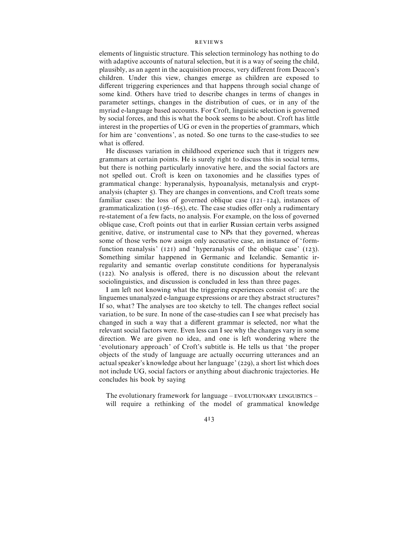### **REVIEWS**

elements of linguistic structure. This selection terminology has nothing to do with adaptive accounts of natural selection, but it is a way of seeing the child, plausibly, as an agent in the acquisition process, very different from Deacon's children. Under this view, changes emerge as children are exposed to different triggering experiences and that happens through social change of some kind. Others have tried to describe changes in terms of changes in parameter settings, changes in the distribution of cues, or in any of the myriad e-language based accounts. For Croft, linguistic selection is governed by social forces, and this is what the book seems to be about. Croft has little interest in the properties of UG or even in the properties of grammars, which for him are 'conventions', as noted. So one turns to the case-studies to see what is offered.

He discusses variation in childhood experience such that it triggers new grammars at certain points. He is surely right to discuss this in social terms, but there is nothing particularly innovative here, and the social factors are not spelled out. Croft is keen on taxonomies and he classifies types of grammatical change: hyperanalysis, hypoanalysis, metanalysis and cryptanalysis (chapter ). They are changes in conventions, and Croft treats some familiar cases: the loss of governed oblique case  $(12I-124)$ , instances of grammaticalization ( $156-165$ ), etc. The case studies offer only a rudimentary re-statement of a few facts, no analysis. For example, on the loss of governed oblique case, Croft points out that in earlier Russian certain verbs assigned genitive, dative, or instrumental case to NPs that they governed, whereas some of those verbs now assign only accusative case, an instance of ' formfunction reanalysis'  $(121)$  and 'hyperanalysis of the oblique case'  $(123)$ . Something similar happened in Germanic and Icelandic. Semantic irregularity and semantic overlap constitute conditions for hyperanalysis (). No analysis is offered, there is no discussion about the relevant sociolinguistics, and discussion is concluded in less than three pages.

I am left not knowing what the triggering experiences consist of: are the linguemes unanalyzed e-language expressions or are they abstract structures ? If so, what? The analyses are too sketchy to tell. The changes reflect social variation, to be sure. In none of the case-studies can I see what precisely has changed in such a way that a different grammar is selected, nor what the relevant social factors were. Even less can I see why the changes vary in some direction. We are given no idea, and one is left wondering where the 'evolutionary approach' of Croft's subtitle is. He tells us that ' the proper objects of the study of language are actually occurring utterances and an actual speaker's knowledge about her language' (229), a short list which does not include UG, social factors or anything about diachronic trajectories. He concludes his book by saying

The evolutionary framework for language – EVOLUTIONARY LINGUISTICS – will require a rethinking of the model of grammatical knowledge

413